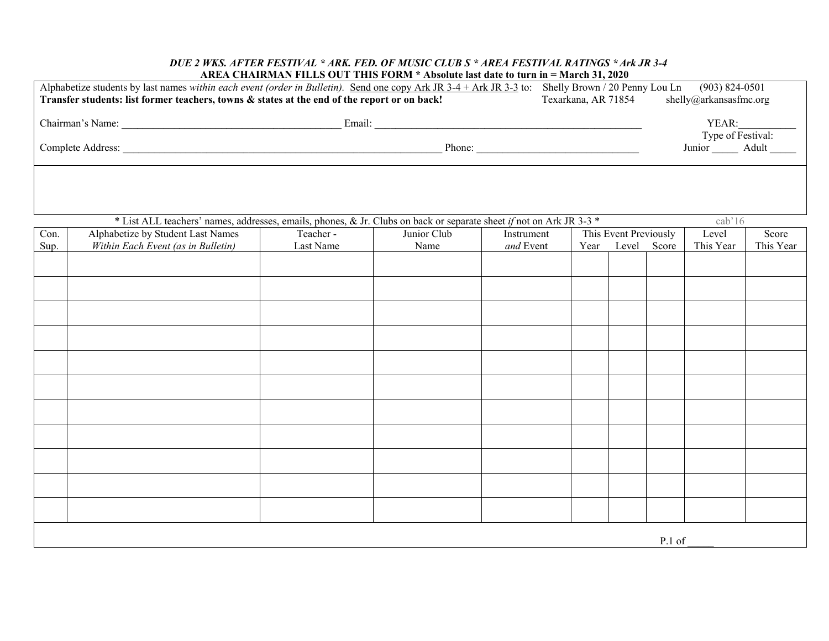## *DUE 2 WKS. AFTER FESTIVAL \* ARK. FED. OF MUSIC CLUB S \* AREA FESTIVAL RATINGS \*Ark JR 3-4*  **AREA CHAIRMAN FILLS OUT THIS FORM \* Absolute last date to turn in = March 31, 2020**

| Alphabetize students by last names within each event (order in Bulletin). Send one copy Ark JR 3-4 + Ark JR 3-3 to: Shelly Brown / 20 Penny Lou Ln<br>$(903) 824 - 0501$<br>Transfer students: list former teachers, towns & states at the end of the report or on back!<br>Texarkana, AR 71854<br>shelly@arkansasfmc.org |                                    |           |             |            |                                                    |             |  |           |           |
|---------------------------------------------------------------------------------------------------------------------------------------------------------------------------------------------------------------------------------------------------------------------------------------------------------------------------|------------------------------------|-----------|-------------|------------|----------------------------------------------------|-------------|--|-----------|-----------|
|                                                                                                                                                                                                                                                                                                                           |                                    |           |             |            |                                                    | YEAR:       |  |           |           |
|                                                                                                                                                                                                                                                                                                                           |                                    |           |             |            | Type of Festival:<br>Junior ________ Adult _______ |             |  |           |           |
|                                                                                                                                                                                                                                                                                                                           |                                    |           |             |            |                                                    |             |  |           |           |
| * List ALL teachers' names, addresses, emails, phones, & Jr. Clubs on back or separate sheet if not on Ark JR 3-3 *<br>cab'16                                                                                                                                                                                             |                                    |           |             |            |                                                    |             |  |           |           |
| Con.                                                                                                                                                                                                                                                                                                                      | Alphabetize by Student Last Names  | Teacher-  | Junior Club | Instrument | This Event Previously                              |             |  | Level     | Score     |
| Sup.                                                                                                                                                                                                                                                                                                                      | Within Each Event (as in Bulletin) | Last Name | Name        | and Event  | Year                                               | Level Score |  | This Year | This Year |
|                                                                                                                                                                                                                                                                                                                           |                                    |           |             |            |                                                    |             |  |           |           |
|                                                                                                                                                                                                                                                                                                                           |                                    |           |             |            |                                                    |             |  |           |           |
|                                                                                                                                                                                                                                                                                                                           |                                    |           |             |            |                                                    |             |  |           |           |
|                                                                                                                                                                                                                                                                                                                           |                                    |           |             |            |                                                    |             |  |           |           |
|                                                                                                                                                                                                                                                                                                                           |                                    |           |             |            |                                                    |             |  |           |           |
|                                                                                                                                                                                                                                                                                                                           |                                    |           |             |            |                                                    |             |  |           |           |
|                                                                                                                                                                                                                                                                                                                           |                                    |           |             |            |                                                    |             |  |           |           |
|                                                                                                                                                                                                                                                                                                                           |                                    |           |             |            |                                                    |             |  |           |           |
|                                                                                                                                                                                                                                                                                                                           |                                    |           |             |            |                                                    |             |  |           |           |
|                                                                                                                                                                                                                                                                                                                           |                                    |           |             |            |                                                    |             |  |           |           |
|                                                                                                                                                                                                                                                                                                                           |                                    |           |             |            |                                                    |             |  |           |           |
|                                                                                                                                                                                                                                                                                                                           |                                    |           |             |            |                                                    |             |  |           |           |
|                                                                                                                                                                                                                                                                                                                           |                                    |           |             |            |                                                    |             |  |           |           |
|                                                                                                                                                                                                                                                                                                                           |                                    |           |             |            |                                                    |             |  |           |           |
|                                                                                                                                                                                                                                                                                                                           |                                    |           |             |            |                                                    |             |  |           |           |
| P.1 of                                                                                                                                                                                                                                                                                                                    |                                    |           |             |            |                                                    |             |  |           |           |